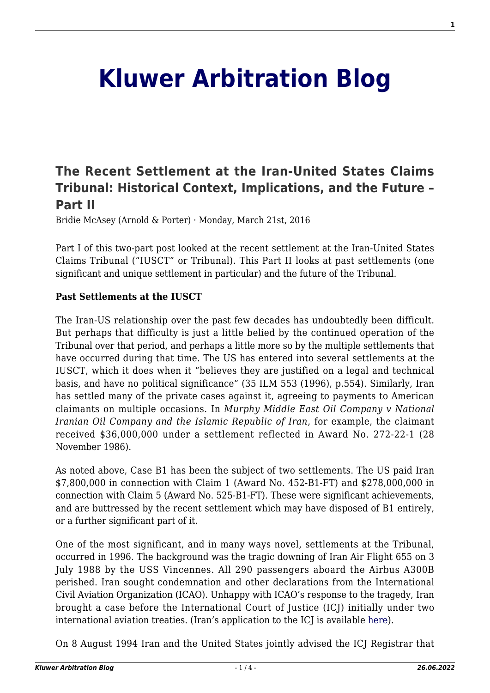# **[Kluwer Arbitration Blog](http://arbitrationblog.kluwerarbitration.com/)**

## **[The Recent Settlement at the Iran-United States Claims](http://arbitrationblog.kluwerarbitration.com/2016/03/21/the-recent-settlement-at-the-iran-united-states-claims-tribunal-historical-context-implications-and-the-future-part-ii/) [Tribunal: Historical Context, Implications, and the Future –](http://arbitrationblog.kluwerarbitration.com/2016/03/21/the-recent-settlement-at-the-iran-united-states-claims-tribunal-historical-context-implications-and-the-future-part-ii/) [Part II](http://arbitrationblog.kluwerarbitration.com/2016/03/21/the-recent-settlement-at-the-iran-united-states-claims-tribunal-historical-context-implications-and-the-future-part-ii/)**

Bridie McAsey (Arnold & Porter) · Monday, March 21st, 2016

Part I of this two-part post looked at the recent settlement at the Iran-United States Claims Tribunal ("IUSCT" or Tribunal). This Part II looks at past settlements (one significant and unique settlement in particular) and the future of the Tribunal.

#### **Past Settlements at the IUSCT**

The Iran-US relationship over the past few decades has undoubtedly been difficult. But perhaps that difficulty is just a little belied by the continued operation of the Tribunal over that period, and perhaps a little more so by the multiple settlements that have occurred during that time. The US has entered into several settlements at the IUSCT, which it does when it "believes they are justified on a legal and technical basis, and have no political significance" (35 ILM 553 (1996), p.554). Similarly, Iran has settled many of the private cases against it, agreeing to payments to American claimants on multiple occasions. In *Murphy Middle East Oil Company v National Iranian Oil Company and the Islamic Republic of Iran*, for example, the claimant received \$36,000,000 under a settlement reflected in Award No. 272-22-1 (28 November 1986).

As noted above, Case B1 has been the subject of two settlements. The US paid Iran \$7,800,000 in connection with Claim 1 (Award No. 452-B1-FT) and \$278,000,000 in connection with Claim 5 (Award No. 525-B1-FT). These were significant achievements, and are buttressed by the recent settlement which may have disposed of B1 entirely, or a further significant part of it.

One of the most significant, and in many ways novel, settlements at the Tribunal, occurred in 1996. The background was the tragic downing of Iran Air Flight 655 on 3 July 1988 by the USS Vincennes. All 290 passengers aboard the Airbus A300B perished. Iran sought condemnation and other declarations from the International Civil Aviation Organization (ICAO). Unhappy with ICAO's response to the tragedy, Iran brought a case before the International Court of Justice (ICJ) initially under two international aviation treaties. (Iran's application to the ICJ is available [here](http://www.icj-cij.org/docket/files/79/6623.pdf)).

On 8 August 1994 Iran and the United States jointly advised the ICJ Registrar that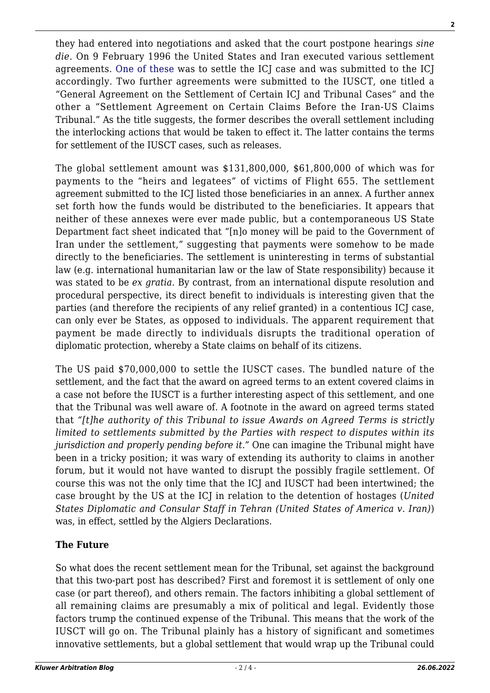they had entered into negotiations and asked that the court postpone hearings *sine die*. On 9 February 1996 the United States and Iran executed various settlement agreements. [One of these](http://www.icj-cij.org/docket/files/79/11131.pdf) was to settle the ICJ case and was submitted to the ICJ accordingly. Two further agreements were submitted to the IUSCT, one titled a "General Agreement on the Settlement of Certain ICJ and Tribunal Cases" and the other a "Settlement Agreement on Certain Claims Before the Iran-US Claims Tribunal." As the title suggests, the former describes the overall settlement including the interlocking actions that would be taken to effect it. The latter contains the terms for settlement of the IUSCT cases, such as releases.

The global settlement amount was \$131,800,000, \$61,800,000 of which was for payments to the "heirs and legatees" of victims of Flight 655. The settlement agreement submitted to the ICJ listed those beneficiaries in an annex. A further annex set forth how the funds would be distributed to the beneficiaries. It appears that neither of these annexes were ever made public, but a contemporaneous US State Department fact sheet indicated that "[n]o money will be paid to the Government of Iran under the settlement," suggesting that payments were somehow to be made directly to the beneficiaries. The settlement is uninteresting in terms of substantial law (e.g. international humanitarian law or the law of State responsibility) because it was stated to be *ex gratia*. By contrast, from an international dispute resolution and procedural perspective, its direct benefit to individuals is interesting given that the parties (and therefore the recipients of any relief granted) in a contentious ICJ case, can only ever be States, as opposed to individuals. The apparent requirement that payment be made directly to individuals disrupts the traditional operation of diplomatic protection, whereby a State claims on behalf of its citizens.

The US paid \$70,000,000 to settle the IUSCT cases. The bundled nature of the settlement, and the fact that the award on agreed terms to an extent covered claims in a case not before the IUSCT is a further interesting aspect of this settlement, and one that the Tribunal was well aware of. A footnote in the award on agreed terms stated that *"[t]he authority of this Tribunal to issue Awards on Agreed Terms is strictly limited to settlements submitted by the Parties with respect to disputes within its jurisdiction and properly pending before it."* One can imagine the Tribunal might have been in a tricky position; it was wary of extending its authority to claims in another forum, but it would not have wanted to disrupt the possibly fragile settlement. Of course this was not the only time that the ICJ and IUSCT had been intertwined; the case brought by the US at the ICJ in relation to the detention of hostages (*United States Diplomatic and Consular Staff in Tehran (United States of America v. Iran)*) was, in effect, settled by the Algiers Declarations.

### **The Future**

So what does the recent settlement mean for the Tribunal, set against the background that this two-part post has described? First and foremost it is settlement of only one case (or part thereof), and others remain. The factors inhibiting a global settlement of all remaining claims are presumably a mix of political and legal. Evidently those factors trump the continued expense of the Tribunal. This means that the work of the IUSCT will go on. The Tribunal plainly has a history of significant and sometimes innovative settlements, but a global settlement that would wrap up the Tribunal could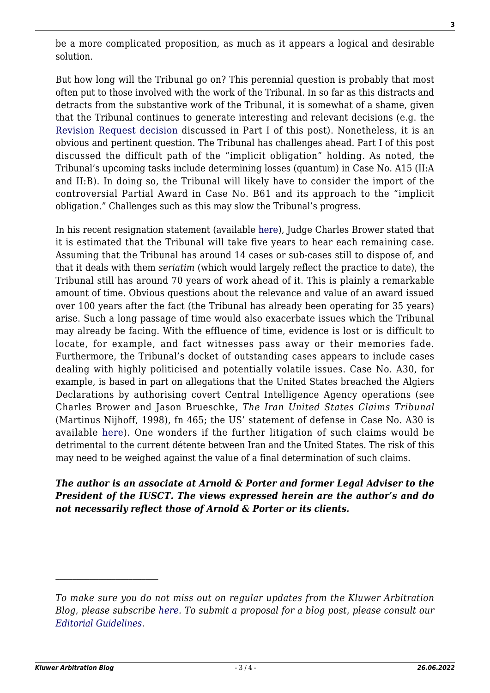$\mathcal{L}_\text{max}$ 

be a more complicated proposition, as much as it appears a logical and desirable solution.

But how long will the Tribunal go on? This perennial question is probably that most often put to those involved with the work of the Tribunal. In so far as this distracts and detracts from the substantive work of the Tribunal, it is somewhat of a shame, given that the Tribunal continues to generate interesting and relevant decisions (e.g. the [Revision Request decision](http://iusct.net/General Documents/B61 Doc 961 EN (DEC).pdf) discussed in Part I of this post). Nonetheless, it is an obvious and pertinent question. The Tribunal has challenges ahead. Part I of this post discussed the difficult path of the "implicit obligation" holding. As noted, the Tribunal's upcoming tasks include determining losses (quantum) in Case No. A15 (II:A and II:B). In doing so, the Tribunal will likely have to consider the import of the controversial Partial Award in Case No. B61 and its approach to the "implicit obligation." Challenges such as this may slow the Tribunal's progress.

In his recent resignation statement (available [here](http://res.cloudinary.com/lbresearch/image/upload/v1449481124/statementcnb_711115_938.pdf)), Judge Charles Brower stated that it is estimated that the Tribunal will take five years to hear each remaining case. Assuming that the Tribunal has around 14 cases or sub-cases still to dispose of, and that it deals with them *seriatim* (which would largely reflect the practice to date), the Tribunal still has around 70 years of work ahead of it. This is plainly a remarkable amount of time. Obvious questions about the relevance and value of an award issued over 100 years after the fact (the Tribunal has already been operating for 35 years) arise. Such a long passage of time would also exacerbate issues which the Tribunal may already be facing. With the effluence of time, evidence is lost or is difficult to locate, for example, and fact witnesses pass away or their memories fade. Furthermore, the Tribunal's docket of outstanding cases appears to include cases dealing with highly politicised and potentially volatile issues. Case No. A30, for example, is based in part on allegations that the United States breached the Algiers Declarations by authorising covert Central Intelligence Agency operations (see Charles Brower and Jason Brueschke, *The Iran United States Claims Tribunal* (Martinus Nijhoff, 1998), fn 465; the US' statement of defense in Case No. A30 is available [here](http://www.state.gov/documents/organization/65779.pdf)). One wonders if the further litigation of such claims would be detrimental to the current détente between Iran and the United States. The risk of this may need to be weighed against the value of a final determination of such claims.

*The author is an associate at Arnold & Porter and former Legal Adviser to the President of the IUSCT. The views expressed herein are the author's and do not necessarily reflect those of Arnold & Porter or its clients.*

*To make sure you do not miss out on regular updates from the Kluwer Arbitration Blog, please subscribe [here](http://arbitrationblog.kluwerarbitration.com/newsletter/). To submit a proposal for a blog post, please consult our [Editorial Guidelines.](http://arbitrationblog.kluwerarbitration.com/editorial-guidelines/)*